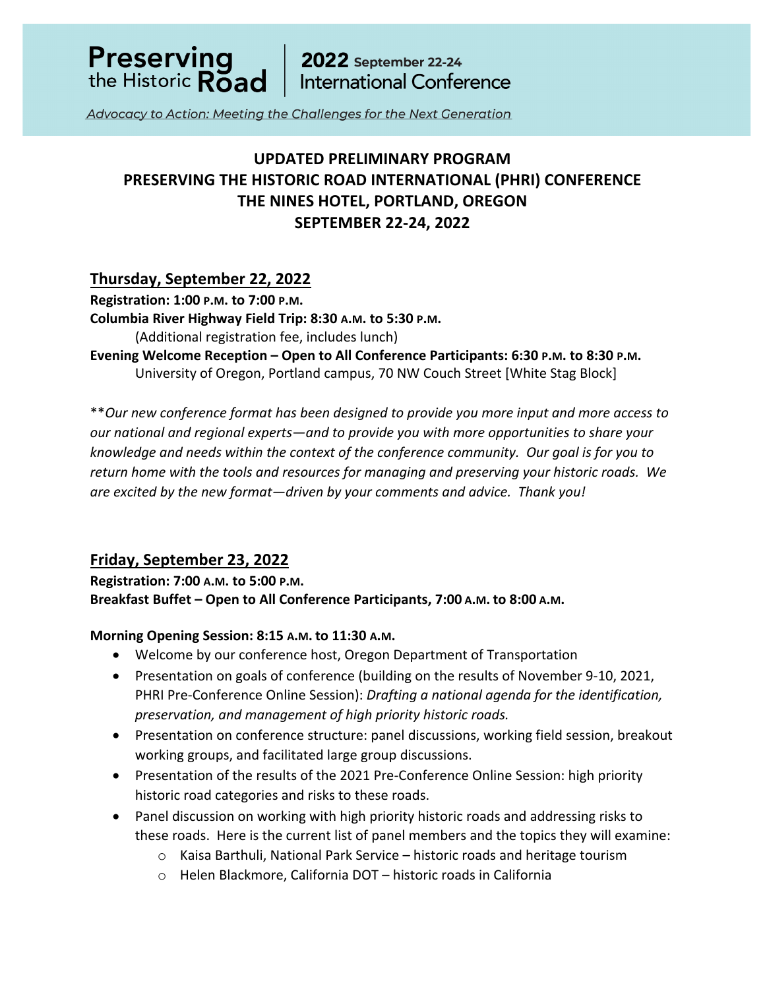

Advocacy to Action: Meeting the Challenges for the Next Generation

# **UPDATED PRELIMINARY PROGRAM PRESERVING THE HISTORIC ROAD INTERNATIONAL (PHRI) CONFERENCE THE NINES HOTEL, PORTLAND, OREGON SEPTEMBER 22-24, 2022**

### **Thursday, September 22, 2022**

**Registration: 1:00 P.M. to 7:00 P.M.**

**Columbia River Highway Field Trip: 8:30 A.M. to 5:30 P.M.**

(Additional registration fee, includes lunch)

**Evening Welcome Reception – Open to All Conference Participants: 6:30 P.M. to 8:30 P.M.** University of Oregon, Portland campus, 70 NW Couch Street [White Stag Block]

\*\**Our new conference format has been designed to provide you more input and more access to our national and regional experts—and to provide you with more opportunities to share your knowledge and needs within the context of the conference community. Our goal is for you to return home with the tools and resources for managing and preserving your historic roads. We are excited by the new format—driven by your comments and advice. Thank you!* 

## **Friday, September 23, 2022**

**Registration: 7:00 A.M. to 5:00 P.M. Breakfast Buffet – Open to All Conference Participants, 7:00 A.M. to 8:00 A.M.**

### **Morning Opening Session: 8:15 A.M. to 11:30 A.M.**

- Welcome by our conference host, Oregon Department of Transportation
- Presentation on goals of conference (building on the results of November 9-10, 2021, PHRI Pre-Conference Online Session): *Drafting a national agenda for the identification, preservation, and management of high priority historic roads.*
- Presentation on conference structure: panel discussions, working field session, breakout working groups, and facilitated large group discussions.
- Presentation of the results of the 2021 Pre-Conference Online Session: high priority historic road categories and risks to these roads.
- Panel discussion on working with high priority historic roads and addressing risks to these roads. Here is the current list of panel members and the topics they will examine:
	- $\circ$  Kaisa Barthuli, National Park Service historic roads and heritage tourism
	- o Helen Blackmore, California DOT historic roads in California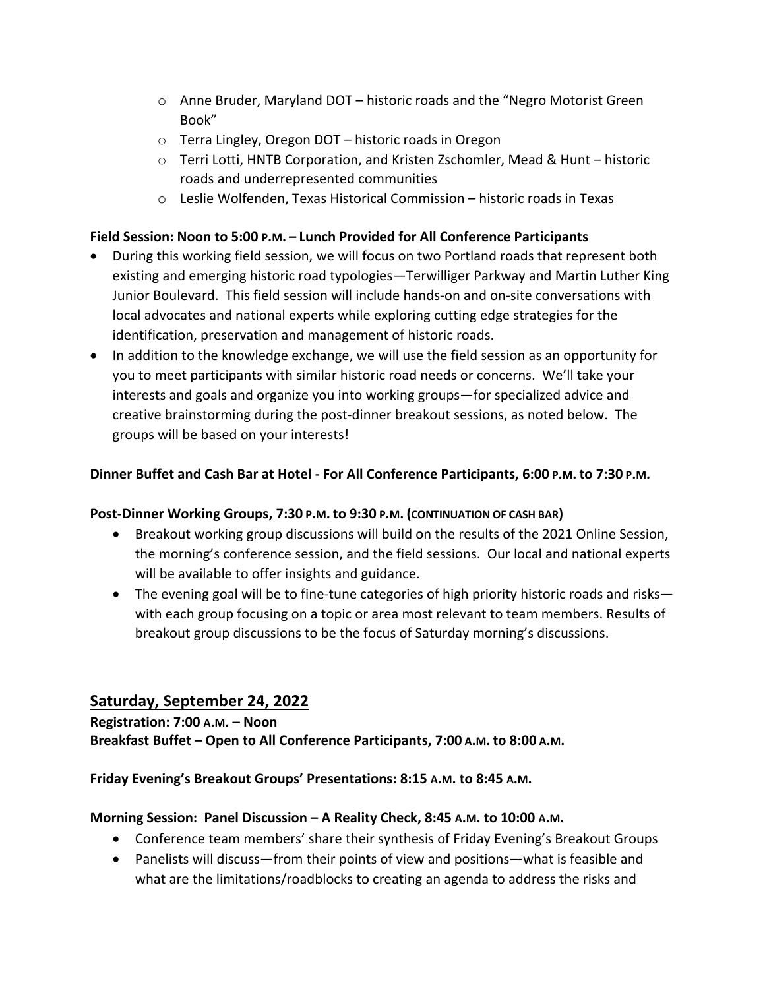- o Anne Bruder, Maryland DOT historic roads and the "Negro Motorist Green Book"
- o Terra Lingley, Oregon DOT historic roads in Oregon
- o Terri Lotti, HNTB Corporation, and Kristen Zschomler, Mead & Hunt historic roads and underrepresented communities
- o Leslie Wolfenden, Texas Historical Commission historic roads in Texas

### **Field Session: Noon to 5:00 P.M. – Lunch Provided for All Conference Participants**

- During this working field session, we will focus on two Portland roads that represent both existing and emerging historic road typologies—Terwilliger Parkway and Martin Luther King Junior Boulevard. This field session will include hands-on and on-site conversations with local advocates and national experts while exploring cutting edge strategies for the identification, preservation and management of historic roads.
- In addition to the knowledge exchange, we will use the field session as an opportunity for you to meet participants with similar historic road needs or concerns. We'll take your interests and goals and organize you into working groups—for specialized advice and creative brainstorming during the post-dinner breakout sessions, as noted below. The groups will be based on your interests!

### **Dinner Buffet and Cash Bar at Hotel - For All Conference Participants, 6:00 P.M. to 7:30 P.M.**

### **Post-Dinner Working Groups, 7:30 P.M. to 9:30 P.M. (CONTINUATION OF CASH BAR)**

- Breakout working group discussions will build on the results of the 2021 Online Session, the morning's conference session, and the field sessions. Our local and national experts will be available to offer insights and guidance.
- The evening goal will be to fine-tune categories of high priority historic roads and risks with each group focusing on a topic or area most relevant to team members. Results of breakout group discussions to be the focus of Saturday morning's discussions.

### **Saturday, September 24, 2022**

# **Registration: 7:00 A.M. – Noon Breakfast Buffet – Open to All Conference Participants, 7:00 A.M. to 8:00 A.M.**

### **Friday Evening's Breakout Groups' Presentations: 8:15 A.M. to 8:45 A.M.**

### **Morning Session: Panel Discussion – A Reality Check, 8:45 A.M. to 10:00 A.M.**

- Conference team members' share their synthesis of Friday Evening's Breakout Groups
- Panelists will discuss—from their points of view and positions—what is feasible and what are the limitations/roadblocks to creating an agenda to address the risks and